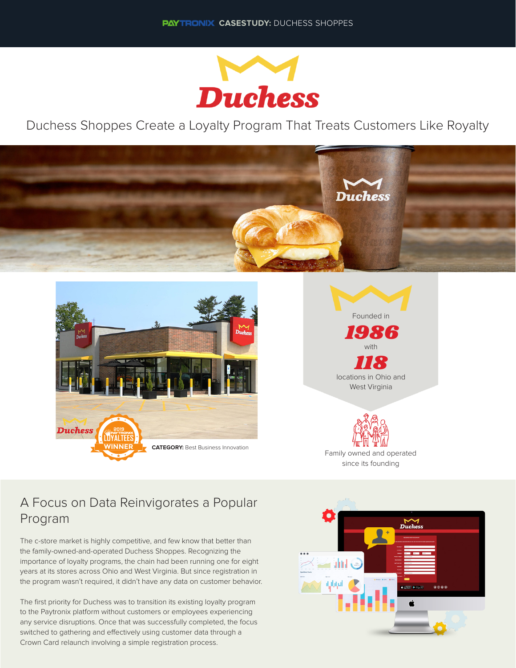

Duchess Shoppes Create a Loyalty Program That Treats Customers Like Royalty







Family owned and operated since its founding

## A Focus on Data Reinvigorates a Popular Program

The c-store market is highly competitive, and few know that better than the family-owned-and-operated Duchess Shoppes. Recognizing the importance of loyalty programs, the chain had been running one for eight years at its stores across Ohio and West Virginia. But since registration in the program wasn't required, it didn't have any data on customer behavior.

The first priority for Duchess was to transition its existing loyalty program to the Paytronix platform without customers or employees experiencing any service disruptions. Once that was successfully completed, the focus switched to gathering and effectively using customer data through a Crown Card relaunch involving a simple registration process.